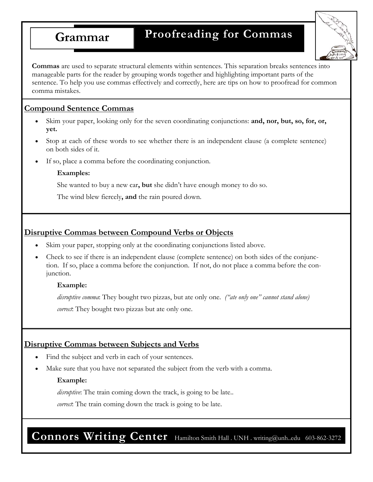# **Grammar Proofreading for Commas**



**Commas** are used to separate structural elements within sentences. This separation breaks sentences into manageable parts for the reader by grouping words together and highlighting important parts of the sentence. To help you use commas effectively and correctly, here are tips on how to proofread for common comma mistakes.

# **Compound Sentence Commas**

- Skim your paper, looking only for the seven coordinating conjunctions: and, nor, but, so, for, or, **yet.**
- Stop at each of these words to see whether there is an independent clause (a complete sentence) on both sides of it.
- If so, place a comma before the coordinating conjunction.

#### **Examples:**

She wanted to buy a new car**, but** she didn't have enough money to do so.

The wind blew fiercely**, and** the rain poured down.

# **Disruptive Commas between Compound Verbs or Objects**

- Skim your paper, stopping only at the coordinating conjunctions listed above.
- Check to see if there is an independent clause (complete sentence) on both sides of the conjunction. If so, place a comma before the conjunction. If not, do not place a comma before the conjunction.

#### **Example:**

*disruptive comma*: They bought two pizzas, but ate only one. *("ate only one" cannot stand alone) correct*: They bought two pizzas but ate only one.

# **Disruptive Commas between Subjects and Verbs**

- Find the subject and verb in each of your sentences.
- Make sure that you have not separated the subject from the verb with a comma.

#### **Example:**

*disruptive*: The train coming down the track, is going to be late...

*correct*: The train coming down the track is going to be late.

Connors Writing Center Hamilton Smith Hall . UNH . writing@unh..edu 603-862-3272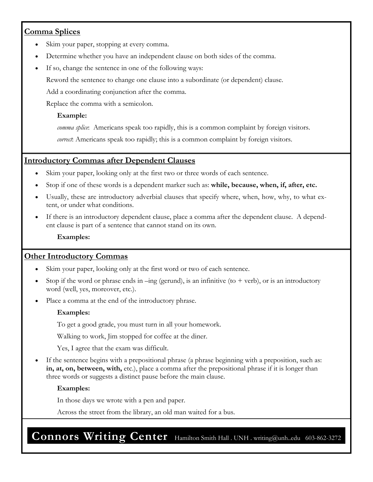# **Comma Splices**

- Skim your paper, stopping at every comma.
- Determine whether you have an independent clause on both sides of the comma.
- If so, change the sentence in one of the following ways:

Reword the sentence to change one clause into a subordinate (or dependent) clause.

Add a coordinating conjunction after the comma.

Replace the comma with a semicolon.

#### **Example:**

*comma splice*: Americans speak too rapidly, this is a common complaint by foreign visitors.

*correct*: Americans speak too rapidly; this is a common complaint by foreign visitors.

### **Introductory Commas after Dependent Clauses**

- Skim your paper, looking only at the first two or three words of each sentence.
- Stop if one of these words is a dependent marker such as: **while, because, when, if, after, etc.**
- Usually, these are introductory adverbial clauses that specify where, when, how, why, to what extent, or under what conditions.
- If there is an introductory dependent clause, place a comma after the dependent clause. A dependent clause is part of a sentence that cannot stand on its own.

**Examples:** 

#### **Other Introductory Commas**

- Skim your paper, looking only at the first word or two of each sentence.
- Stop if the word or phrase ends in  $-\text{ing}$  (gerund), is an infinitive (to + verb), or is an introductory word (well, yes, moreover, etc.).
- Place a comma at the end of the introductory phrase.

#### **Examples:**

To get a good grade, you must turn in all your homework.

Walking to work, Jim stopped for coffee at the diner.

Yes, I agree that the exam was difficult.

If the sentence begins with a prepositional phrase (a phrase beginning with a preposition, such as: **in, at, on, between, with,** etc.), place a comma after the prepositional phrase if it is longer than three words or suggests a distinct pause before the main clause.

#### **Examples:**

In those days we wrote with a pen and paper.

Across the street from the library, an old man waited for a bus.

**Connors Writing Center** Hamilton Smith Hall . UNH . writing@unh..edu 603-862-3272